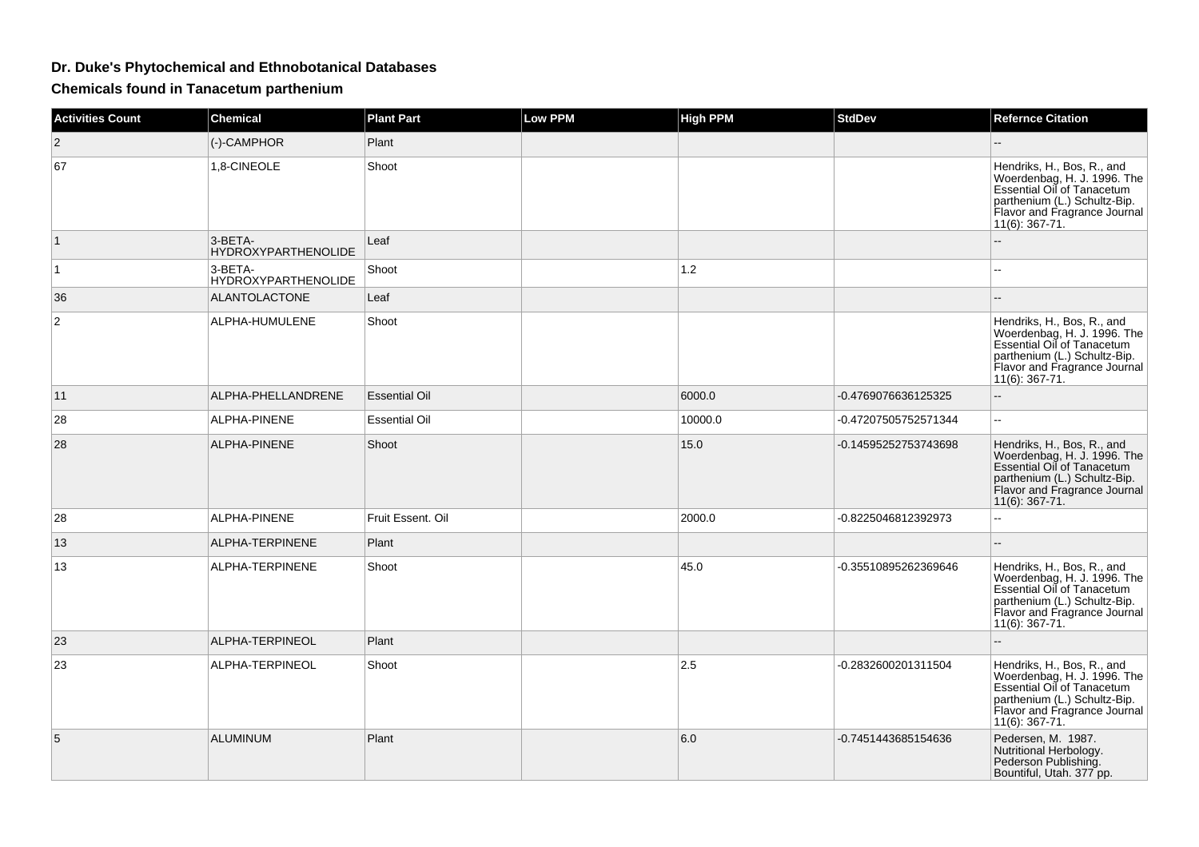## **Dr. Duke's Phytochemical and Ethnobotanical Databases**

**Chemicals found in Tanacetum parthenium**

| <b>Activities Count</b> | <b>Chemical</b>                       | <b>Plant Part</b>    | <b>Low PPM</b> | <b>High PPM</b> | <b>StdDev</b>        | <b>Refernce Citation</b>                                                                                                                                                     |
|-------------------------|---------------------------------------|----------------------|----------------|-----------------|----------------------|------------------------------------------------------------------------------------------------------------------------------------------------------------------------------|
| 2                       | (-)-CAMPHOR                           | Plant                |                |                 |                      |                                                                                                                                                                              |
| 67                      | 1,8-CINEOLE                           | Shoot                |                |                 |                      | Hendriks, H., Bos, R., and<br>Woerdenbag, H. J. 1996. The<br>Essential Oil of Tanacetum<br>parthenium (L.) Schultz-Bip.<br>Flavor and Fragrance Journal<br>$11(6)$ : 367-71. |
| 1                       | 3-BETA-<br><b>HYDROXYPARTHENOLIDE</b> | Leaf                 |                |                 |                      |                                                                                                                                                                              |
| 1                       | 3-BETA-<br><b>HYDROXYPARTHENOLIDE</b> | Shoot                |                | 1.2             |                      | --                                                                                                                                                                           |
| 36                      | <b>ALANTOLACTONE</b>                  | Leaf                 |                |                 |                      |                                                                                                                                                                              |
| $\overline{2}$          | ALPHA-HUMULENE                        | Shoot                |                |                 |                      | Hendriks, H., Bos, R., and<br>Woerdenbag, H. J. 1996. The<br>Essential Oil of Tanacetum<br>parthenium (L.) Schultz-Bip.<br>Flavor and Fragrance Journal<br>$11(6)$ : 367-71. |
| 11                      | ALPHA-PHELLANDRENE                    | <b>Essential Oil</b> |                | 6000.0          | -0.4769076636125325  | $-$                                                                                                                                                                          |
| 28                      | ALPHA-PINENE                          | <b>Essential Oil</b> |                | 10000.0         | -0.47207505752571344 | $\mathbf{u}$                                                                                                                                                                 |
| 28                      | ALPHA-PINENE                          | Shoot                |                | 15.0            | -0.14595252753743698 | Hendriks, H., Bos, R., and<br>Woerdenbag, H. J. 1996. The<br>Essential Oil of Tanacetum<br>parthenium (L.) Schultz-Bip.<br>Flavor and Fragrance Journal<br>11(6): 367-71.    |
| 28                      | ALPHA-PINENE                          | Fruit Essent. Oil    |                | 2000.0          | -0.8225046812392973  | ш.                                                                                                                                                                           |
| 13                      | ALPHA-TERPINENE                       | Plant                |                |                 |                      | $\sim$                                                                                                                                                                       |
| 13                      | ALPHA-TERPINENE                       | Shoot                |                | 45.0            | -0.35510895262369646 | Hendriks, H., Bos, R., and<br>Woerdenbag, H. J. 1996. The<br>Essential Oil of Tanacetum<br>parthenium (L.) Schultz-Bip.<br>Flavor and Fragrance Journal<br>11(6): 367-71.    |
| 23                      | ALPHA-TERPINEOL                       | Plant                |                |                 |                      | $\sim$                                                                                                                                                                       |
| 23                      | ALPHA-TERPINEOL                       | Shoot                |                | 2.5             | -0.2832600201311504  | Hendriks, H., Bos, R., and<br>Woerdenbag, H. J. 1996. The<br>Essential Oil of Tanacetum<br>parthenium (L.) Schultz-Bip.<br>Flavor and Fragrance Journal<br>$11(6)$ : 367-71. |
| 5                       | <b>ALUMINUM</b>                       | Plant                |                | 6.0             | -0.7451443685154636  | Pedersen, M. 1987.<br>Nutritional Herbology.<br>Pederson Publishing.<br>Bountiful, Utah. 377 pp.                                                                             |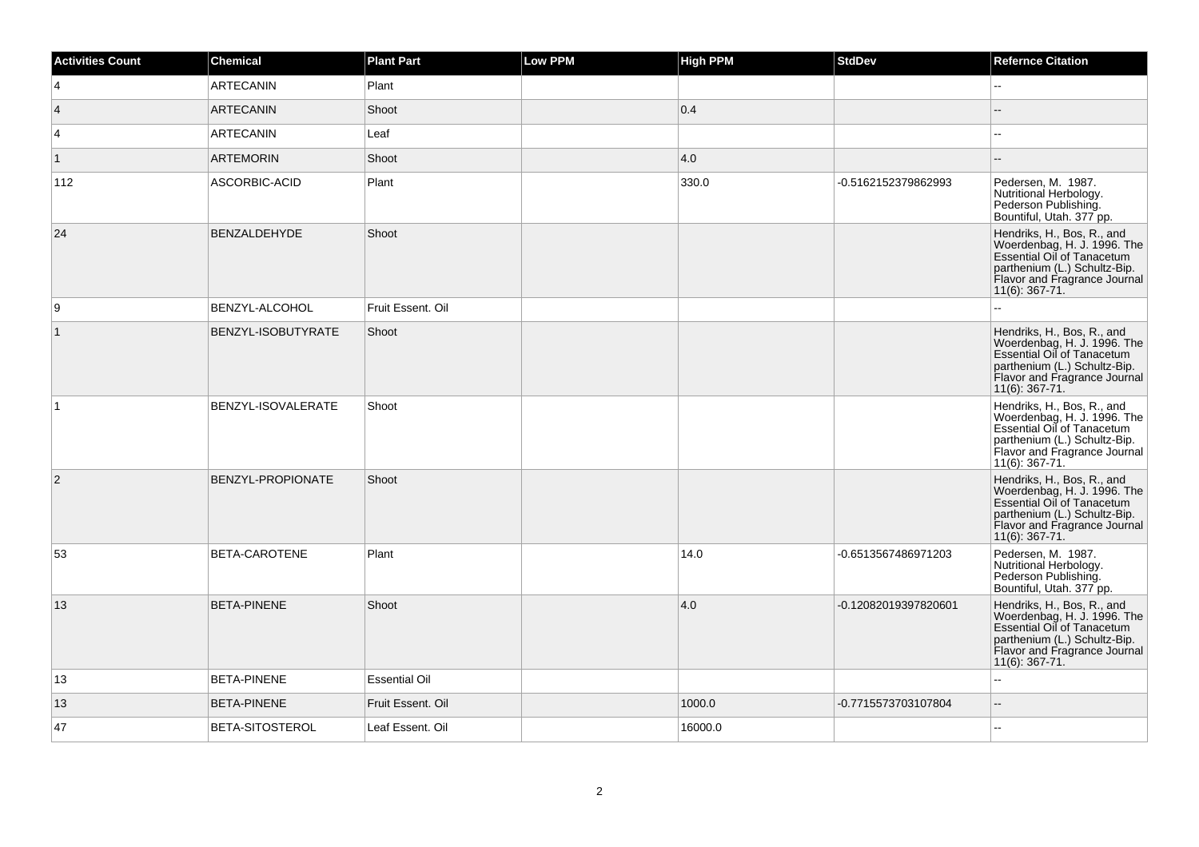| <b>Activities Count</b> | <b>Chemical</b>     | <b>Plant Part</b>    | Low PPM | <b>High PPM</b> | <b>StdDev</b>        | <b>Refernce Citation</b>                                                                                                                                                     |
|-------------------------|---------------------|----------------------|---------|-----------------|----------------------|------------------------------------------------------------------------------------------------------------------------------------------------------------------------------|
| $\overline{4}$          | <b>ARTECANIN</b>    | Plant                |         |                 |                      | Щ,                                                                                                                                                                           |
| $\vert$ 4               | <b>ARTECANIN</b>    | Shoot                |         | 0.4             |                      |                                                                                                                                                                              |
| 4                       | <b>ARTECANIN</b>    | Leaf                 |         |                 |                      | --                                                                                                                                                                           |
| $\overline{1}$          | <b>ARTEMORIN</b>    | Shoot                |         | 4.0             |                      |                                                                                                                                                                              |
| 112                     | ASCORBIC-ACID       | Plant                |         | 330.0           | -0.5162152379862993  | Pedersen, M. 1987.<br>Nutritional Herbology.<br>Pederson Publishing.<br>Bountiful, Utah. 377 pp.                                                                             |
| 24                      | <b>BENZALDEHYDE</b> | Shoot                |         |                 |                      | Hendriks, H., Bos, R., and<br>Woerdenbag, H. J. 1996. The<br>Essential Oil of Tanacetum<br>parthenium (L.) Schultz-Bip.<br>Flavor and Fragrance Journal<br>$11(6)$ : 367-71. |
| 9                       | BENZYL-ALCOHOL      | Fruit Essent, Oil    |         |                 |                      |                                                                                                                                                                              |
| $\vert$ 1               | BENZYL-ISOBUTYRATE  | Shoot                |         |                 |                      | Hendriks, H., Bos, R., and<br>Woerdenbag, H. J. 1996. The<br>Essential Oil of Tanacetum<br>parthenium (L.) Schultz-Bip.<br>Flavor and Fragrance Journal<br>$11(6)$ : 367-71. |
|                         | BENZYL-ISOVALERATE  | Shoot                |         |                 |                      | Hendriks, H., Bos, R., and<br>Woerdenbag, H. J. 1996. The<br>Essential Oil of Tanacetum<br>parthenium (L.) Schultz-Bip.<br>Flavor and Fragrance Journal<br>$11(6)$ : 367-71. |
| $\overline{2}$          | BENZYL-PROPIONATE   | Shoot                |         |                 |                      | Hendriks, H., Bos, R., and<br>Woerdenbag, H. J. 1996. The<br>Essential Oil of Tanacetum<br>parthenium (L.) Schultz-Bip.<br>Flavor and Fragrance Journal<br>$11(6)$ : 367-71. |
| 53                      | BETA-CAROTENE       | Plant                |         | 14.0            | -0.6513567486971203  | Pedersen, M. 1987.<br>Nutritional Herbology.<br>Pederson Publishing.<br>Bountiful, Utah. 377 pp.                                                                             |
| 13                      | <b>BETA-PINENE</b>  | Shoot                |         | 4.0             | -0.12082019397820601 | Hendriks, H., Bos, R., and<br>Woerdenbag, H. J. 1996. The<br>Essential Oil of Tanacetum<br>parthenium (L.) Schultz-Bip.<br>Flavor and Fragrance Journal<br>11(6): 367-71.    |
| 13                      | <b>BETA-PINENE</b>  | <b>Essential Oil</b> |         |                 |                      | шш.                                                                                                                                                                          |
| 13                      | <b>BETA-PINENE</b>  | Fruit Essent. Oil    |         | 1000.0          | -0.7715573703107804  | $-$                                                                                                                                                                          |
| 47                      | BETA-SITOSTEROL     | Leaf Essent. Oil     |         | 16000.0         |                      | ÷÷.                                                                                                                                                                          |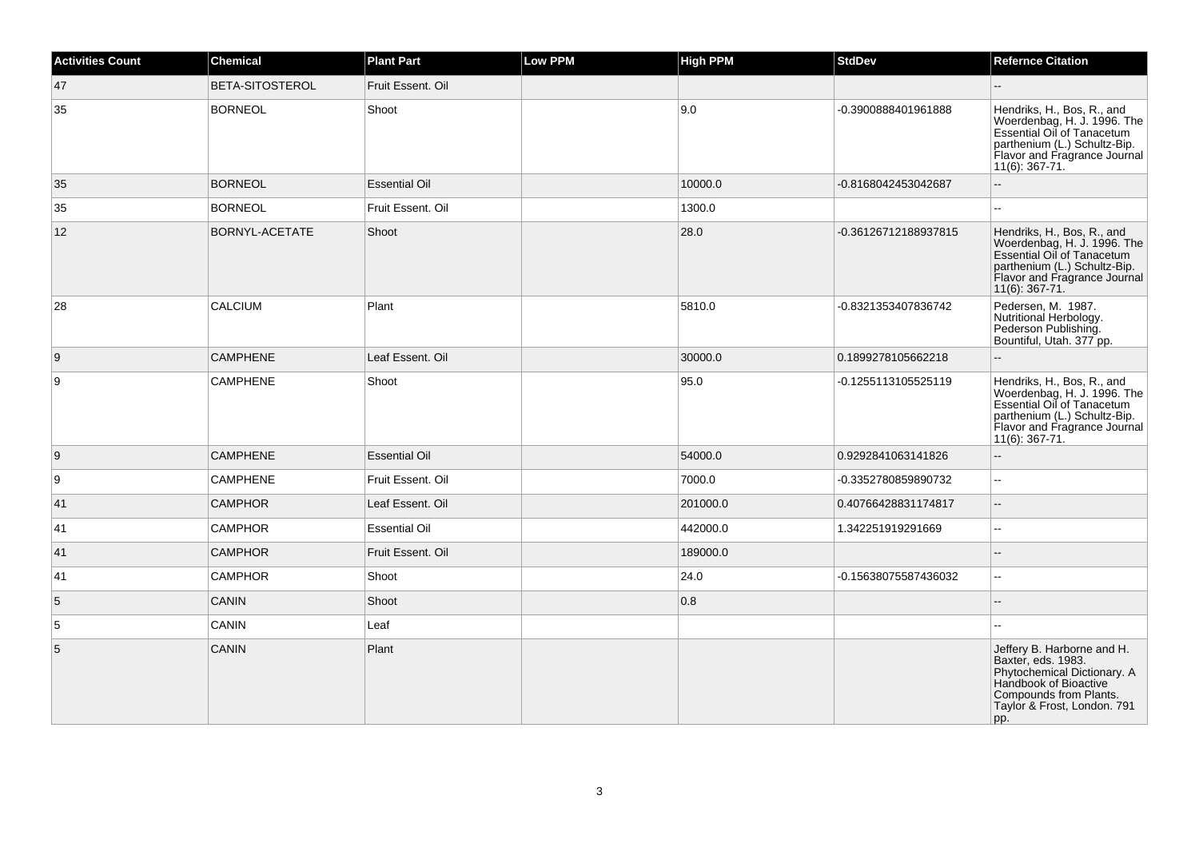| <b>Activities Count</b> | <b>Chemical</b> | <b>Plant Part</b>    | <b>Low PPM</b> | <b>High PPM</b> | <b>StdDev</b>        | <b>Refernce Citation</b>                                                                                                                                                     |
|-------------------------|-----------------|----------------------|----------------|-----------------|----------------------|------------------------------------------------------------------------------------------------------------------------------------------------------------------------------|
| 47                      | BETA-SITOSTEROL | Fruit Essent. Oil    |                |                 |                      |                                                                                                                                                                              |
| 35                      | <b>BORNEOL</b>  | Shoot                |                | 9.0             | -0.3900888401961888  | Hendriks, H., Bos, R., and<br>Woerdenbag, H. J. 1996. The<br>Essential Oil of Tanacetum<br>parthenium (L.) Schultz-Bip.<br>Flavor and Fragrance Journal<br>11(6): 367-71.    |
| 35                      | <b>BORNEOL</b>  | <b>Essential Oil</b> |                | 10000.0         | -0.8168042453042687  |                                                                                                                                                                              |
| 35                      | <b>BORNEOL</b>  | Fruit Essent. Oil    |                | 1300.0          |                      |                                                                                                                                                                              |
| 12                      | BORNYL-ACETATE  | Shoot                |                | 28.0            | -0.36126712188937815 | Hendriks, H., Bos, R., and<br>Woerdenbag, H. J. 1996. The<br>Essential Oil of Tanacetum<br>parthenium (L.) Schultz-Bip.<br>Flavor and Fragrance Journal<br>$11(6)$ : 367-71. |
| 28                      | <b>CALCIUM</b>  | Plant                |                | 5810.0          | -0.8321353407836742  | Pedersen, M. 1987.<br>Nutritional Herbology.<br>Pederson Publishing.<br>Bountiful, Utah. 377 pp.                                                                             |
| 9                       | <b>CAMPHENE</b> | Leaf Essent. Oil     |                | 30000.0         | 0.1899278105662218   |                                                                                                                                                                              |
| 9                       | <b>CAMPHENE</b> | Shoot                |                | 95.0            | -0.1255113105525119  | Hendriks, H., Bos, R., and<br>Woerdenbag, H. J. 1996. The<br>Essential Oil of Tanacetum<br>parthenium (L.) Schultz-Bip.<br>Flavor and Fragrance Journal<br>11(6): 367-71.    |
| 9                       | <b>CAMPHENE</b> | <b>Essential Oil</b> |                | 54000.0         | 0.9292841063141826   | $\overline{a}$                                                                                                                                                               |
| 9                       | <b>CAMPHENE</b> | Fruit Essent. Oil    |                | 7000.0          | -0.3352780859890732  | ă.                                                                                                                                                                           |
| 41                      | <b>CAMPHOR</b>  | Leaf Essent. Oil     |                | 201000.0        | 0.40766428831174817  | $\overline{\phantom{a}}$                                                                                                                                                     |
| 41                      | <b>CAMPHOR</b>  | <b>Essential Oil</b> |                | 442000.0        | 1.342251919291669    | ۵.                                                                                                                                                                           |
| 41                      | <b>CAMPHOR</b>  | Fruit Essent. Oil    |                | 189000.0        |                      |                                                                                                                                                                              |
| 41                      | <b>CAMPHOR</b>  | Shoot                |                | 24.0            | -0.15638075587436032 | $\ddotsc$                                                                                                                                                                    |
| 5                       | <b>CANIN</b>    | Shoot                |                | 0.8             |                      |                                                                                                                                                                              |
| 5                       | <b>CANIN</b>    | Leaf                 |                |                 |                      |                                                                                                                                                                              |
| 5                       | <b>CANIN</b>    | Plant                |                |                 |                      | Jeffery B. Harborne and H.<br>Baxter, eds. 1983.<br>Phytochemical Dictionary. A<br>Handbook of Bioactive<br>Compounds from Plants.<br>Taylor & Frost, London. 791<br>pp.     |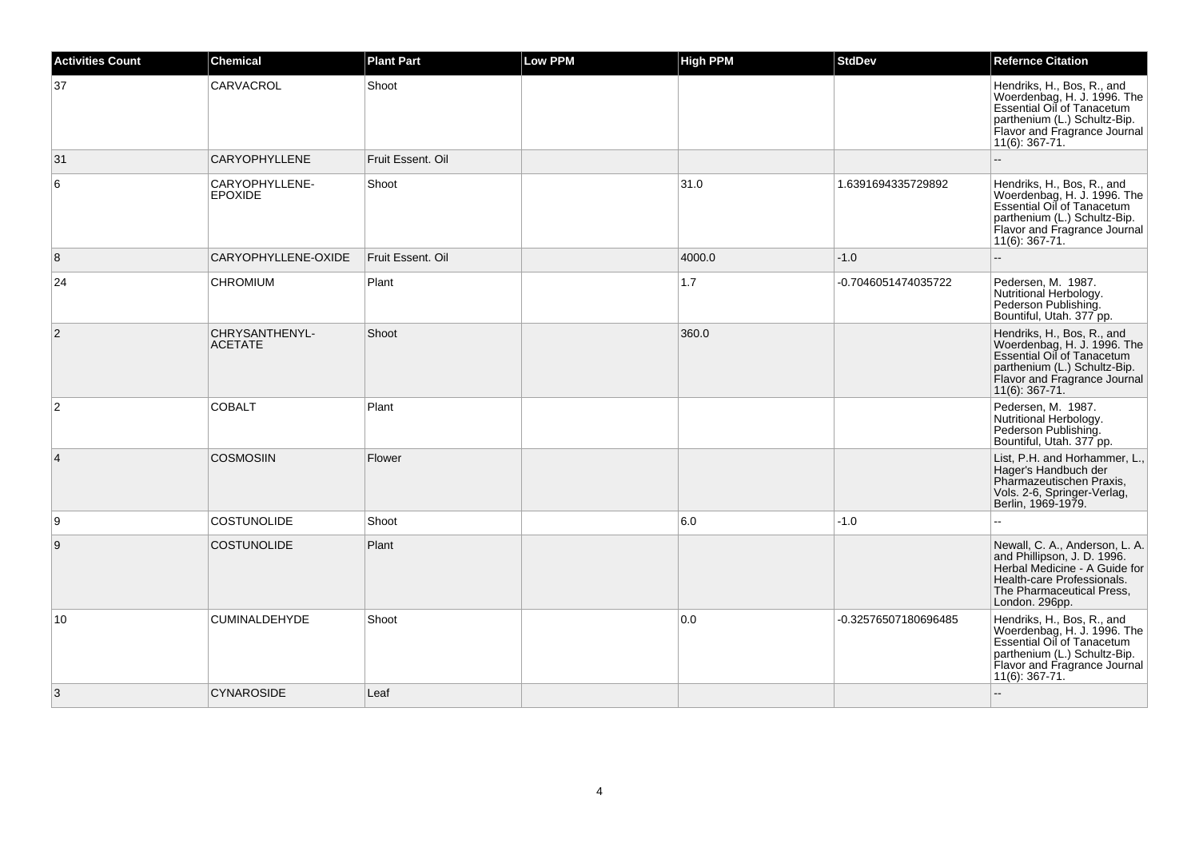| <b>Activities Count</b> | <b>Chemical</b>                  | <b>Plant Part</b> | <b>Low PPM</b> | <b>High PPM</b> | <b>StdDev</b>        | <b>Refernce Citation</b>                                                                                                                                                     |
|-------------------------|----------------------------------|-------------------|----------------|-----------------|----------------------|------------------------------------------------------------------------------------------------------------------------------------------------------------------------------|
| 37                      | CARVACROL                        | Shoot             |                |                 |                      | Hendriks, H., Bos, R., and<br>Woerdenbag, H. J. 1996. The<br>Essential Oil of Tanacetum<br>parthenium (L.) Schultz-Bip.<br>Flavor and Fragrance Journal<br>11(6): 367-71.    |
| 31                      | <b>CARYOPHYLLENE</b>             | Fruit Essent. Oil |                |                 |                      |                                                                                                                                                                              |
| 6                       | CARYOPHYLLENE-<br><b>EPOXIDE</b> | Shoot             |                | 31.0            | 1.6391694335729892   | Hendriks, H., Bos, R., and<br>Woerdenbag, H. J. 1996. The<br>Essential Oil of Tanacetum<br>parthenium (L.) Schultz-Bip.<br>Flavor and Fragrance Journal<br>11(6): 367-71.    |
| 8                       | CARYOPHYLLENE-OXIDE              | Fruit Essent, Oil |                | 4000.0          | $-1.0$               |                                                                                                                                                                              |
| 24                      | <b>CHROMIUM</b>                  | Plant             |                | 1.7             | -0.7046051474035722  | Pedersen, M. 1987.<br>Nutritional Herbology.<br>Pederson Publishing.<br>Bountiful, Utah. 377 pp.                                                                             |
| 2                       | CHRYSANTHENYL-<br><b>ACETATE</b> | Shoot             |                | 360.0           |                      | Hendriks, H., Bos, R., and<br>Woerdenbag, H. J. 1996. The<br>Essential Oil of Tanacetum<br>parthenium (L.) Schultz-Bip.<br>Flavor and Fragrance Journal<br>$11(6)$ : 367-71. |
| 2                       | <b>COBALT</b>                    | Plant             |                |                 |                      | Pedersen, M. 1987.<br>Nutritional Herbology.<br>Pederson Publishing.<br>Bountiful, Utah. 377 pp.                                                                             |
| $\overline{4}$          | <b>COSMOSIIN</b>                 | Flower            |                |                 |                      | List, P.H. and Horhammer, L.<br>Hager's Handbuch der<br>Pharmazeutischen Praxis,<br>Vols. 2-6, Springer-Verlag,<br>Berlin, 1969-1979.                                        |
| 9                       | <b>COSTUNOLIDE</b>               | Shoot             |                | 6.0             | $-1.0$               |                                                                                                                                                                              |
| 9                       | <b>COSTUNOLIDE</b>               | Plant             |                |                 |                      | Newall, C. A., Anderson, L. A.<br>and Phillipson, J. D. 1996.<br>Herbal Medicine - A Guide for<br>Health-care Professionals.<br>The Pharmaceutical Press,<br>London. 296pp.  |
| 10                      | <b>CUMINALDEHYDE</b>             | Shoot             |                | 0.0             | -0.32576507180696485 | Hendriks, H., Bos, R., and<br>Woerdenbag, H. J. 1996. The<br>Essential Oil of Tanacetum<br>parthenium (L.) Schultz-Bip.<br>Flavor and Fragrance Journal<br>11(6): 367-71.    |
| 3                       | <b>CYNAROSIDE</b>                | Leaf              |                |                 |                      |                                                                                                                                                                              |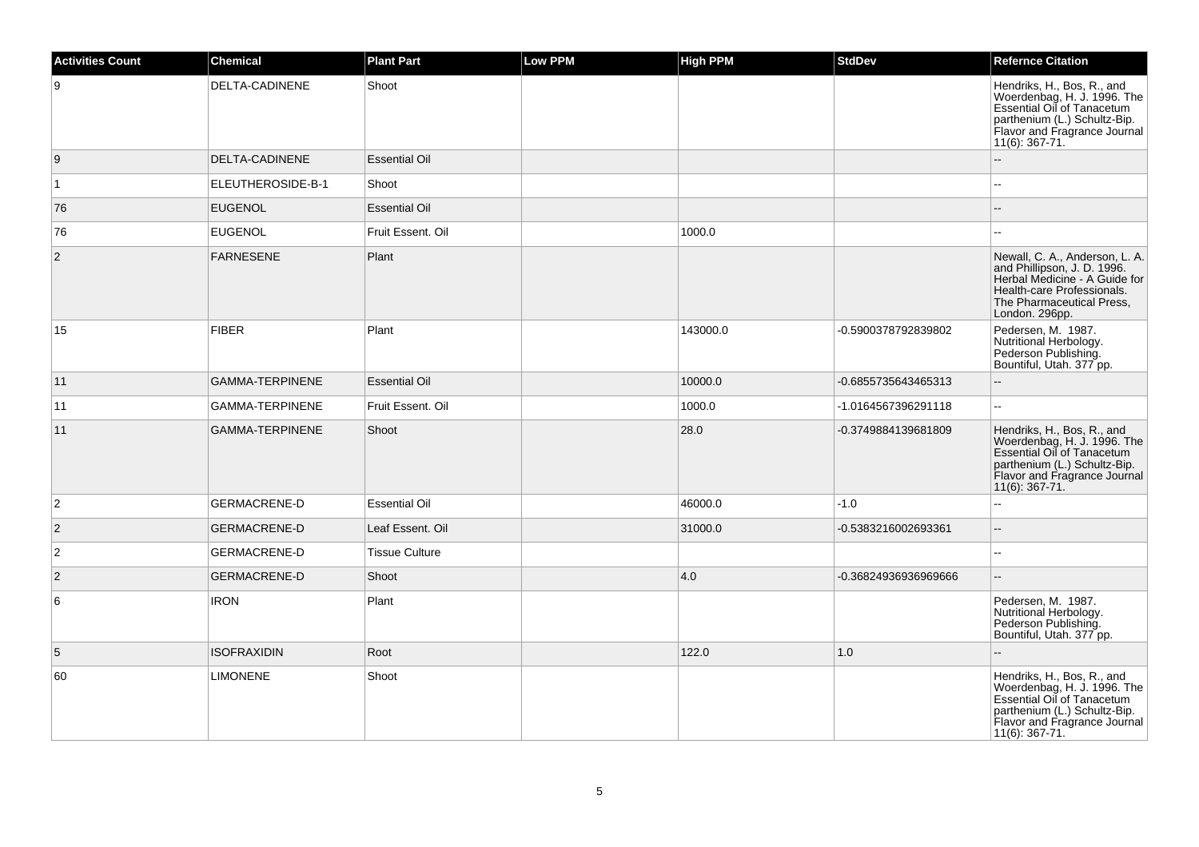| <b>Activities Count</b> | <b>Chemical</b>        | <b>Plant Part</b>     | <b>Low PPM</b> | <b>High PPM</b> | <b>StdDev</b>        | <b>Refernce Citation</b>                                                                                                                                                     |
|-------------------------|------------------------|-----------------------|----------------|-----------------|----------------------|------------------------------------------------------------------------------------------------------------------------------------------------------------------------------|
| 9                       | DELTA-CADINENE         | Shoot                 |                |                 |                      | Hendriks, H., Bos, R., and<br>Woerdenbag, H. J. 1996. The<br>Essential Oil of Tanacetum<br>parthenium (L.) Schultz-Bip.<br>Flavor and Fragrance Journal<br>11(6): 367-71.    |
| 9                       | DELTA-CADINENE         | <b>Essential Oil</b>  |                |                 |                      | --                                                                                                                                                                           |
| $\overline{1}$          | ELEUTHEROSIDE-B-1      | Shoot                 |                |                 |                      | ۵.                                                                                                                                                                           |
| 76                      | <b>EUGENOL</b>         | <b>Essential Oil</b>  |                |                 |                      |                                                                                                                                                                              |
| 76                      | <b>EUGENOL</b>         | Fruit Essent. Oil     |                | 1000.0          |                      |                                                                                                                                                                              |
| $ 2\rangle$             | <b>FARNESENE</b>       | Plant                 |                |                 |                      | Newall, C. A., Anderson, L. A.<br>and Phillipson, J. D. 1996.<br>Herbal Medicine - A Guide for<br>Health-care Professionals.<br>The Pharmaceutical Press,<br>London. 296pp.  |
| 15                      | <b>FIBER</b>           | Plant                 |                | 143000.0        | -0.5900378792839802  | Pedersen, M. 1987.<br>Nutritional Herbology.<br>Pederson Publishing.<br>Bountiful, Utah. 377 pp.                                                                             |
| 11                      | <b>GAMMA-TERPINENE</b> | <b>Essential Oil</b>  |                | 10000.0         | -0.6855735643465313  | ш,                                                                                                                                                                           |
| 11                      | <b>GAMMA-TERPINENE</b> | Fruit Essent. Oil     |                | 1000.0          | -1.0164567396291118  | 44                                                                                                                                                                           |
| 11                      | <b>GAMMA-TERPINENE</b> | Shoot                 |                | 28.0            | -0.3749884139681809  | Hendriks, H., Bos, R., and<br>Woerdenbag, H. J. 1996. The<br>Essential Oil of Tanacetum<br>parthenium (L.) Schultz-Bip.<br>Flavor and Fragrance Journal<br>$11(6)$ : 367-71. |
| $\overline{2}$          | <b>GERMACRENE-D</b>    | <b>Essential Oil</b>  |                | 46000.0         | $-1.0$               | L.                                                                                                                                                                           |
| $\overline{2}$          | <b>GERMACRENE-D</b>    | Leaf Essent. Oil      |                | 31000.0         | -0.5383216002693361  |                                                                                                                                                                              |
| $\overline{2}$          | <b>GERMACRENE-D</b>    | <b>Tissue Culture</b> |                |                 |                      | L.                                                                                                                                                                           |
| $ 2\rangle$             | <b>GERMACRENE-D</b>    | Shoot                 |                | 4.0             | -0.36824936936969666 | $-$                                                                                                                                                                          |
| 6                       | <b>IRON</b>            | Plant                 |                |                 |                      | Pedersen, M. 1987.<br>Nutritional Herbology.<br>Pederson Publishing.<br>Bountiful, Utah. 377 pp.                                                                             |
| 5                       | <b>ISOFRAXIDIN</b>     | Root                  |                | 122.0           | 1.0                  |                                                                                                                                                                              |
| 60                      | <b>LIMONENE</b>        | Shoot                 |                |                 |                      | Hendriks, H., Bos, R., and<br>Woerdenbag, H. J. 1996. The<br>Essential Oil of Tanacetum<br>parthenium (L.) Schultz-Bip.<br>Flavor and Fragrance Journal<br>$11(6)$ : 367-71. |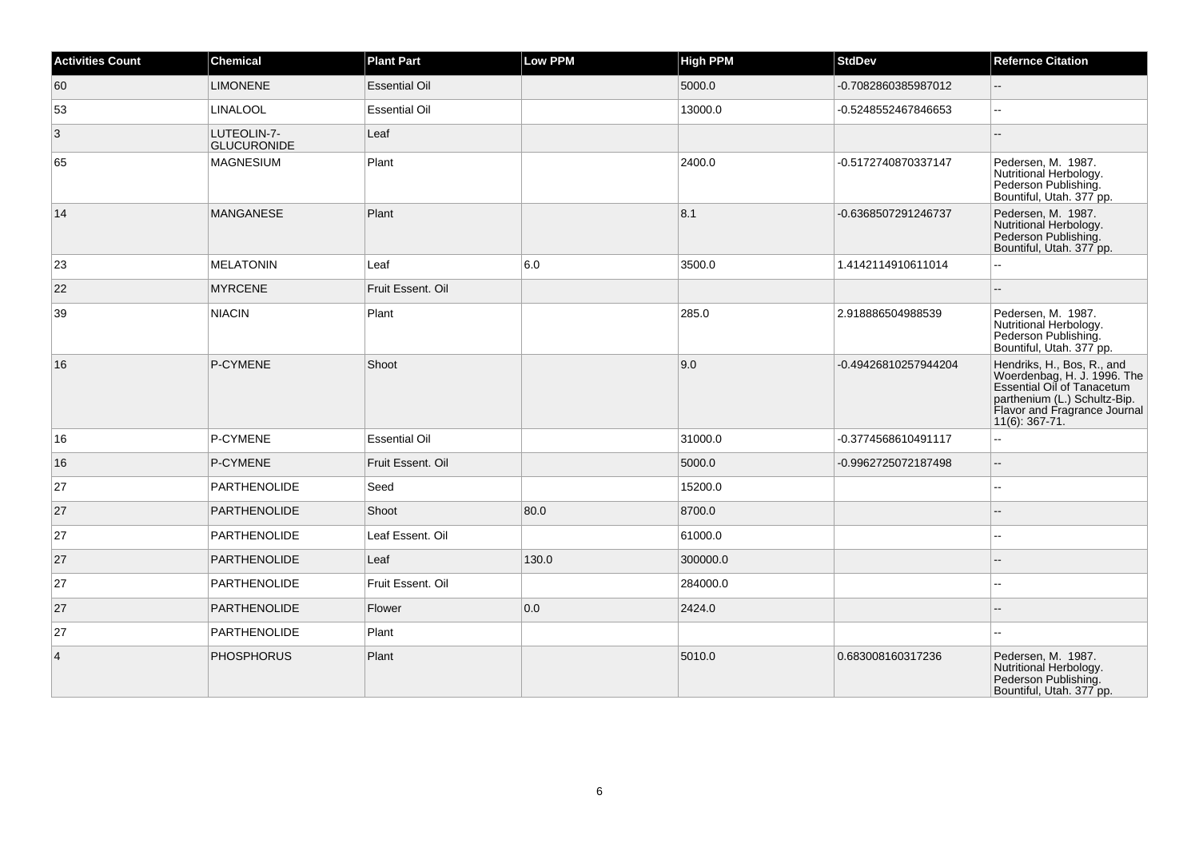| <b>Activities Count</b> | <b>Chemical</b>                   | <b>Plant Part</b>    | <b>Low PPM</b> | <b>High PPM</b> | <b>StdDev</b>        | <b>Refernce Citation</b>                                                                                                                                                  |
|-------------------------|-----------------------------------|----------------------|----------------|-----------------|----------------------|---------------------------------------------------------------------------------------------------------------------------------------------------------------------------|
| 60                      | <b>LIMONENE</b>                   | <b>Essential Oil</b> |                | 5000.0          | -0.7082860385987012  | $\overline{\phantom{a}}$                                                                                                                                                  |
| 53                      | <b>LINALOOL</b>                   | <b>Essential Oil</b> |                | 13000.0         | -0.5248552467846653  | --                                                                                                                                                                        |
| $\vert 3 \vert$         | LUTEOLIN-7-<br><b>GLUCURONIDE</b> | Leaf                 |                |                 |                      |                                                                                                                                                                           |
| 65                      | <b>MAGNESIUM</b>                  | Plant                |                | 2400.0          | -0.5172740870337147  | Pedersen, M. 1987.<br>Nutritional Herbology.<br>Pederson Publishing.<br>Bountiful, Utah. 377 pp.                                                                          |
| 14                      | <b>MANGANESE</b>                  | Plant                |                | 8.1             | -0.6368507291246737  | Pedersen, M. 1987.<br>Nutritional Herbology.<br>Pederson Publishing.<br>Bountiful, Utah. 377 pp.                                                                          |
| 23                      | <b>MELATONIN</b>                  | Leaf                 | 6.0            | 3500.0          | 1.4142114910611014   |                                                                                                                                                                           |
| 22                      | <b>MYRCENE</b>                    | Fruit Essent, Oil    |                |                 |                      |                                                                                                                                                                           |
| 39                      | <b>NIACIN</b>                     | Plant                |                | 285.0           | 2.918886504988539    | Pedersen, M. 1987.<br>Nutritional Herbology.<br>Pederson Publishing.<br>Bountiful, Utah. 377 pp.                                                                          |
| 16                      | P-CYMENE                          | Shoot                |                | 9.0             | -0.49426810257944204 | Hendriks, H., Bos, R., and<br>Woerdenbag, H. J. 1996. The<br>Essential Oil of Tanacetum<br>parthenium (L.) Schultz-Bip.<br>Flavor and Fragrance Journal<br>11(6): 367-71. |
| 16                      | P-CYMENE                          | <b>Essential Oil</b> |                | 31000.0         | -0.3774568610491117  | L.                                                                                                                                                                        |
| 16                      | P-CYMENE                          | Fruit Essent. Oil    |                | 5000.0          | -0.9962725072187498  | ц,                                                                                                                                                                        |
| 27                      | <b>PARTHENOLIDE</b>               | Seed                 |                | 15200.0         |                      | Ξ.                                                                                                                                                                        |
| 27                      | <b>PARTHENOLIDE</b>               | Shoot                | 80.0           | 8700.0          |                      |                                                                                                                                                                           |
| 27                      | <b>PARTHENOLIDE</b>               | Leaf Essent. Oil     |                | 61000.0         |                      |                                                                                                                                                                           |
| 27                      | <b>PARTHENOLIDE</b>               | Leaf                 | 130.0          | 300000.0        |                      |                                                                                                                                                                           |
| 27                      | <b>PARTHENOLIDE</b>               | Fruit Essent, Oil    |                | 284000.0        |                      |                                                                                                                                                                           |
| 27                      | PARTHENOLIDE                      | Flower               | 0.0            | 2424.0          |                      |                                                                                                                                                                           |
| 27                      | <b>PARTHENOLIDE</b>               | Plant                |                |                 |                      |                                                                                                                                                                           |
| $\overline{4}$          | <b>PHOSPHORUS</b>                 | Plant                |                | 5010.0          | 0.683008160317236    | Pedersen, M. 1987.<br>Nutritional Herbology.<br>Pederson Publishing.<br>Bountiful, Utah. 377 pp.                                                                          |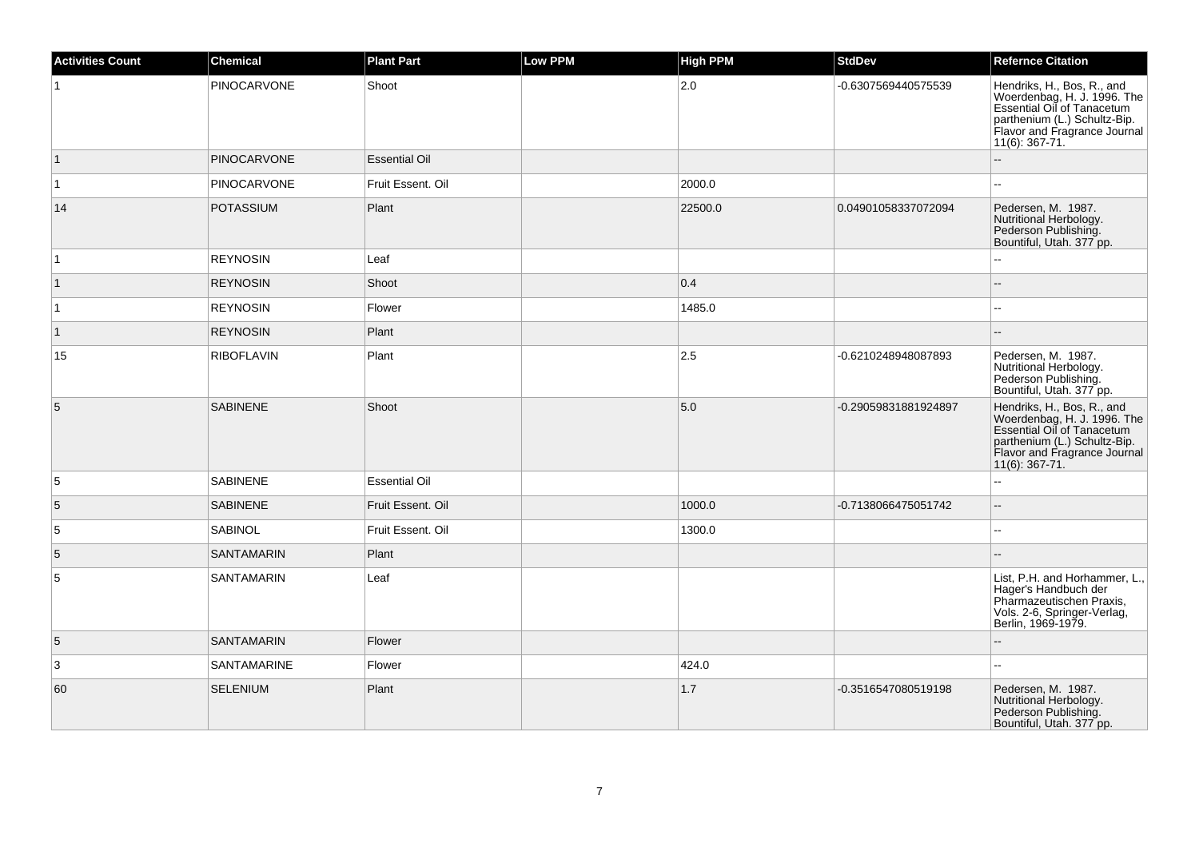| <b>Activities Count</b> | <b>Chemical</b>    | <b>Plant Part</b>    | <b>Low PPM</b> | <b>High PPM</b> | <b>StdDev</b>        | <b>Refernce Citation</b>                                                                                                                                                     |
|-------------------------|--------------------|----------------------|----------------|-----------------|----------------------|------------------------------------------------------------------------------------------------------------------------------------------------------------------------------|
|                         | <b>PINOCARVONE</b> | Shoot                |                | 2.0             | -0.6307569440575539  | Hendriks, H., Bos, R., and<br>Woerdenbag, H. J. 1996. The<br>Essential Oil of Tanacetum<br>parthenium (L.) Schultz-Bip.<br>Flavor and Fragrance Journal<br>11(6): 367-71.    |
| $\overline{1}$          | <b>PINOCARVONE</b> | <b>Essential Oil</b> |                |                 |                      | $\sim$                                                                                                                                                                       |
| $\overline{1}$          | <b>PINOCARVONE</b> | Fruit Essent. Oil    |                | 2000.0          |                      |                                                                                                                                                                              |
| 14                      | <b>POTASSIUM</b>   | Plant                |                | 22500.0         | 0.04901058337072094  | Pedersen, M. 1987.<br>Nutritional Herbology.<br>Pederson Publishing.<br>Bountiful, Utah. 377 pp.                                                                             |
| $\overline{1}$          | <b>REYNOSIN</b>    | Leaf                 |                |                 |                      |                                                                                                                                                                              |
| $\overline{1}$          | <b>REYNOSIN</b>    | Shoot                |                | 0.4             |                      |                                                                                                                                                                              |
| $\vert$ 1               | <b>REYNOSIN</b>    | Flower               |                | 1485.0          |                      | $-$                                                                                                                                                                          |
| $\vert$ 1               | <b>REYNOSIN</b>    | Plant                |                |                 |                      |                                                                                                                                                                              |
| 15                      | <b>RIBOFLAVIN</b>  | Plant                |                | 2.5             | -0.6210248948087893  | Pedersen, M. 1987.<br>Nutritional Herbology.<br>Pederson Publishing.<br>Bountiful, Utah. 377 pp.                                                                             |
| 5                       | <b>SABINENE</b>    | Shoot                |                | 5.0             | -0.29059831881924897 | Hendriks, H., Bos, R., and<br>Woerdenbag, H. J. 1996. The<br>Essential Oil of Tanacetum<br>parthenium (L.) Schultz-Bip.<br>Flavor and Fragrance Journal<br>$11(6)$ : 367-71. |
| $\sqrt{5}$              | <b>SABINENE</b>    | <b>Essential Oil</b> |                |                 |                      | $\sim$                                                                                                                                                                       |
| 5                       | <b>SABINENE</b>    | Fruit Essent. Oil    |                | 1000.0          | -0.7138066475051742  |                                                                                                                                                                              |
| $\sqrt{5}$              | SABINOL            | Fruit Essent. Oil    |                | 1300.0          |                      | $\sim$                                                                                                                                                                       |
| $\overline{5}$          | <b>SANTAMARIN</b>  | Plant                |                |                 |                      |                                                                                                                                                                              |
| $\overline{5}$          | <b>SANTAMARIN</b>  | Leaf                 |                |                 |                      | List, P.H. and Horhammer, L.,<br>Hager's Handbuch der<br>Pharmazeutischen Praxis,<br>Vols. 2-6, Springer-Verlag,<br>Berlin, 1969-1979.                                       |
| $\overline{5}$          | <b>SANTAMARIN</b>  | Flower               |                |                 |                      |                                                                                                                                                                              |
| $\overline{3}$          | SANTAMARINE        | Flower               |                | 424.0           |                      |                                                                                                                                                                              |
| 60                      | <b>SELENIUM</b>    | Plant                |                | 1.7             | -0.3516547080519198  | Pedersen, M. 1987.<br>Nutritional Herbology.<br>Pederson Publishing.<br>Bountiful, Utah. 377 pp.                                                                             |